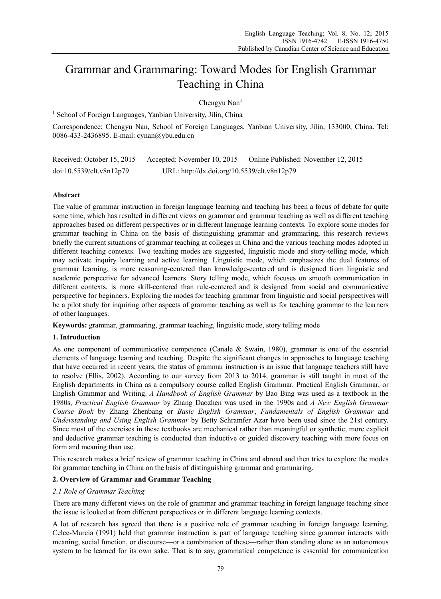# Grammar and Grammaring: Toward Modes for English Grammar Teaching in China

Chengyu Nan<sup>1</sup>

<sup>1</sup> School of Foreign Languages, Yanbian University, Jilin, China

Correspondence: Chengyu Nan, School of Foreign Languages, Yanbian University, Jilin, 133000, China. Tel: 0086-433-2436895. E-mail: cynan@ybu.edu.cn

| Received: October 15, 2015 | Accepted: November 10, 2015                 | Online Published: November 12, 2015 |
|----------------------------|---------------------------------------------|-------------------------------------|
| doi:10.5539/elt.v8n12p79   | URL: http://dx.doi.org/10.5539/elt.v8n12p79 |                                     |

# **Abstract**

The value of grammar instruction in foreign language learning and teaching has been a focus of debate for quite some time, which has resulted in different views on grammar and grammar teaching as well as different teaching approaches based on different perspectives or in different language learning contexts. To explore some modes for grammar teaching in China on the basis of distinguishing grammar and grammaring, this research reviews briefly the current situations of grammar teaching at colleges in China and the various teaching modes adopted in different teaching contexts. Two teaching modes are suggested, linguistic mode and story-telling mode, which may activate inquiry learning and active learning. Linguistic mode, which emphasizes the dual features of grammar learning, is more reasoning-centered than knowledge-centered and is designed from linguistic and academic perspective for advanced learners. Story telling mode, which focuses on smooth communication in different contexts, is more skill-centered than rule-centered and is designed from social and communicative perspective for beginners. Exploring the modes for teaching grammar from linguistic and social perspectives will be a pilot study for inquiring other aspects of grammar teaching as well as for teaching grammar to the learners of other languages.

**Keywords:** grammar, grammaring, grammar teaching, linguistic mode, story telling mode

# **1. Introduction**

As one component of communicative competence (Canale & Swain, 1980), grammar is one of the essential elements of language learning and teaching. Despite the significant changes in approaches to language teaching that have occurred in recent years, the status of grammar instruction is an issue that language teachers still have to resolve (Ellis, 2002). According to our survey from 2013 to 2014, grammar is still taught in most of the English departments in China as a compulsory course called English Grammar, Practical English Grammar, or English Grammar and Writing. *A Handbook of English Grammar* by Bao Bing was used as a textbook in the 1980s, *Practical English Grammar* by Zhang Daozhen was used in the 1990s and *A New English Grammar Course Book* by Zhang Zhenbang or *Basic English Grammar*, *Fundamentals of English Grammar* and *Understanding and Using English Grammar* by Betty Schramfer Azar have been used since the 21st century. Since most of the exercises in these textbooks are mechanical rather than meaningful or synthetic, more explicit and deductive grammar teaching is conducted than inductive or guided discovery teaching with more focus on form and meaning than use.

This research makes a brief review of grammar teaching in China and abroad and then tries to explore the modes for grammar teaching in China on the basis of distinguishing grammar and grammaring.

# **2. Overview of Grammar and Grammar Teaching**

## *2.1 Role of Grammar Teaching*

There are many different views on the role of grammar and grammar teaching in foreign language teaching since the issue is looked at from different perspectives or in different language learning contexts.

A lot of research has agreed that there is a positive role of grammar teaching in foreign language learning. Celce-Murcia (1991) held that grammar instruction is part of language teaching since grammar interacts with meaning, social function, or discourse—or a combination of these—rather than standing alone as an autonomous system to be learned for its own sake. That is to say, grammatical competence is essential for communication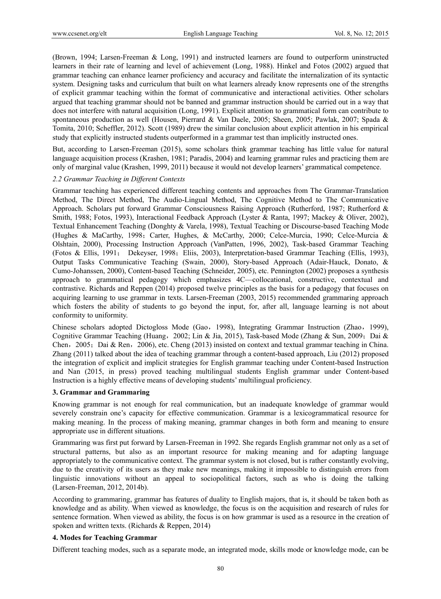(Brown, 1994; Larsen-Freeman & Long, 1991) and instructed learners are found to outperform uninstructed learners in their rate of learning and level of achievement (Long, 1988). Hinkel and Fotos (2002) argued that grammar teaching can enhance learner proficiency and accuracy and facilitate the internalization of its syntactic system. Designing tasks and curriculum that built on what learners already know represents one of the strengths of explicit grammar teaching within the format of communicative and interactional activities. Other scholars argued that teaching grammar should not be banned and grammar instruction should be carried out in a way that does not interfere with natural acquisition (Long, 1991). Explicit attention to grammatical form can contribute to spontaneous production as well (Housen, Pierrard & Van Daele, 2005; Sheen, 2005; Pawlak, 2007; Spada & Tomita, 2010; Scheffler, 2012). Scott (1989) drew the similar conclusion about explicit attention in his empirical study that explicitly instructed students outperformed in a grammar test than implicitly instructed ones.

But, according to Larsen-Freeman (2015), some scholars think grammar teaching has little value for natural language acquisition process (Krashen, 1981; Paradis, 2004) and learning grammar rules and practicing them are only of marginal value (Krashen, 1999, 2011) because it would not develop learners' grammatical competence.

#### *2.2 Grammar Teaching in Different Contexts*

Grammar teaching has experienced different teaching contents and approaches from The Grammar-Translation Method, The Direct Method, The Audio-Lingual Method, The Cognitive Method to The Communicative Approach. Scholars put forward Grammar Consciousness Raising Approach (Rutherford, 1987; Rutherford & Smith, 1988; Fotos, 1993), Interactional Feedback Approach (Lyster & Ranta, 1997; Mackey & Oliver, 2002), Textual Enhancement Teaching (Donghty & Varela, 1998), Textual Teaching or Discourse-based Teaching Mode (Hughes & MaCarthy, 1998; Carter, Hughes, & McCarthy, 2000; Celce-Murcia, 1990; Celce-Murcia & Olshtain, 2000), Processing Instruction Approach (VanPatten, 1996, 2002), Task-based Grammar Teaching (Fotos & Ellis, 1991; Dekeyser, 1998; Eliis, 2003), Interpretation-based Grammar Teaching (Ellis, 1993), Output Tasks Communicative Teaching (Swain, 2000), Story-based Approach (Adair-Hauck, Donato, & Cumo-Johanssen, 2000), Content-based Teaching (Schneider, 2005), etc. Pennington (2002) proposes a synthesis approach to grammatical pedagogy which emphasizes 4C—collocational, constructive, contextual and contrastive. Richards and Reppen (2014) proposed twelve principles as the basis for a pedagogy that focuses on acquiring learning to use grammar in texts. Larsen-Freeman (2003, 2015) recommended grammaring approach which fosters the ability of students to go beyond the input, for, after all, language learning is not about conformity to uniformity.

Chinese scholars adopted Dictogloss Mode (Gao,1998), Integrating Grammar Instruction (Zhao,1999), Cognitive Grammar Teaching (Huang, 2002; Lin & Jia, 2015), Task-based Mode (Zhang & Sun, 2009; Dai & Chen, 2005; Dai & Ren, 2006), etc. Cheng (2013) insisted on context and textual grammar teaching in China. Zhang (2011) talked about the idea of teaching grammar through a content-based approach, Liu (2012) proposed the integration of explicit and implicit strategies for English grammar teaching under Content-based Instruction and Nan (2015, in press) proved teaching multilingual students English grammar under Content-based Instruction is a highly effective means of developing students' multilingual proficiency.

## **3. Grammar and Grammaring**

Knowing grammar is not enough for real communication, but an inadequate knowledge of grammar would severely constrain one's capacity for effective communication. Grammar is a lexicogrammatical resource for making meaning. In the process of making meaning, grammar changes in both form and meaning to ensure appropriate use in different situations.

Grammaring was first put forward by Larsen-Freeman in 1992. She regards English grammar not only as a set of structural patterns, but also as an important resource for making meaning and for adapting language appropriately to the communicative context. The grammar system is not closed, but is rather constantly evolving, due to the creativity of its users as they make new meanings, making it impossible to distinguish errors from linguistic innovations without an appeal to sociopolitical factors, such as who is doing the talking (Larsen-Freeman, 2012, 2014b).

According to grammaring, grammar has features of duality to English majors, that is, it should be taken both as knowledge and as ability. When viewed as knowledge, the focus is on the acquisition and research of rules for sentence formation. When viewed as ability, the focus is on how grammar is used as a resource in the creation of spoken and written texts. (Richards & Reppen, 2014)

#### **4. Modes for Teaching Grammar**

Different teaching modes, such as a separate mode, an integrated mode, skills mode or knowledge mode, can be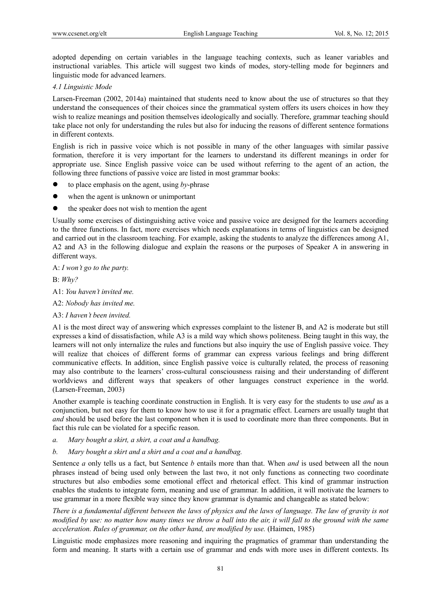adopted depending on certain variables in the language teaching contexts, such as leaner variables and instructional variables. This article will suggest two kinds of modes, story-telling mode for beginners and linguistic mode for advanced learners.

## *4.1 Linguistic Mode*

Larsen-Freeman (2002, 2014a) maintained that students need to know about the use of structures so that they understand the consequences of their choices since the grammatical system offers its users choices in how they wish to realize meanings and position themselves ideologically and socially. Therefore, grammar teaching should take place not only for understanding the rules but also for inducing the reasons of different sentence formations in different contexts.

English is rich in passive voice which is not possible in many of the other languages with similar passive formation, therefore it is very important for the learners to understand its different meanings in order for appropriate use. Since English passive voice can be used without referring to the agent of an action, the following three functions of passive voice are listed in most grammar books:

- to place emphasis on the agent, using *by*-phrase
- when the agent is unknown or unimportant
- the speaker does not wish to mention the agent

Usually some exercises of distinguishing active voice and passive voice are designed for the learners according to the three functions. In fact, more exercises which needs explanations in terms of linguistics can be designed and carried out in the classroom teaching. For example, asking the students to analyze the differences among A1, A2 and A3 in the following dialogue and explain the reasons or the purposes of Speaker A in answering in different ways.

A: *I won't go to the party.* 

B: *Why?*

A1: *You haven't invited me.*

A2: *Nobody has invited me.* 

A3: *I haven't been invited.* 

A1 is the most direct way of answering which expresses complaint to the listener B, and A2 is moderate but still expresses a kind of dissatisfaction, while A3 is a mild way which shows politeness. Being taught in this way, the learners will not only internalize the rules and functions but also inquiry the use of English passive voice. They will realize that choices of different forms of grammar can express various feelings and bring different communicative effects. In addition, since English passive voice is culturally related, the process of reasoning may also contribute to the learners' cross-cultural consciousness raising and their understanding of different worldviews and different ways that speakers of other languages construct experience in the world. (Larsen-Freeman, 2003)

Another example is teaching coordinate construction in English. It is very easy for the students to use *and* as a conjunction, but not easy for them to know how to use it for a pragmatic effect. Learners are usually taught that *and* should be used before the last component when it is used to coordinate more than three components. But in fact this rule can be violated for a specific reason.

- *a. Mary bought a skirt, a shirt, a coat and a handbag.*
- *b. Mary bought a skirt and a shirt and a coat and a handbag.*

Sentence *a* only tells us a fact, but Sentence *b* entails more than that. When *and* is used between all the noun phrases instead of being used only between the last two, it not only functions as connecting two coordinate structures but also embodies some emotional effect and rhetorical effect. This kind of grammar instruction enables the students to integrate form, meaning and use of grammar. In addition, it will motivate the learners to use grammar in a more flexible way since they know grammar is dynamic and changeable as stated below:

*There is a fundamental different between the laws of physics and the laws of language. The law of gravity is not modified by use: no matter how many times we throw a ball into the air, it will fall to the ground with the same acceleration. Rules of grammar, on the other hand, are modified by use.* (Haimen, 1985)

Linguistic mode emphasizes more reasoning and inquiring the pragmatics of grammar than understanding the form and meaning. It starts with a certain use of grammar and ends with more uses in different contexts. Its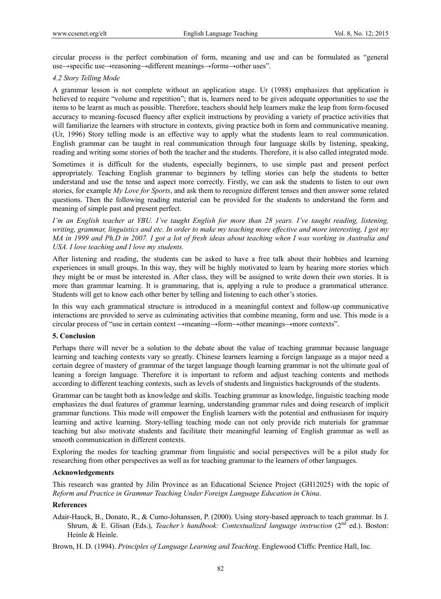circular process is the perfect combination of form, meaning and use and can be formulated as "general use→specific use→reasoning→different meanings→forms→other uses".

#### *4.2 Story Telling Mode*

A grammar lesson is not complete without an application stage. Ur (1988) emphasizes that application is believed to require "volume and repetition"; that is, learners need to be given adequate opportunities to use the items to be learnt as much as possible. Therefore, teachers should help learners make the leap from form-focused accuracy to meaning-focused fluency after explicit instructions by providing a variety of practice activities that will familiarize the learners with structure in contexts, giving practice both in form and communicative meaning. (Ur, 1996) Story telling mode is an effective way to apply what the students learn to real communication. English grammar can be taught in real communication through four language skills by listening, speaking, reading and writing some stories of both the teacher and the students. Therefore, it is also called integrated mode.

Sometimes it is difficult for the students, especially beginners, to use simple past and present perfect appropriately. Teaching English grammar to beginners by telling stories can help the students to better understand and use the tense and aspect more correctly. Firstly, we can ask the students to listen to our own stories, for example *My Love for Sports*, and ask them to recognize different tenses and then answer some related questions. Then the following reading material can be provided for the students to understand the form and meaning of simple past and present perfect.

*I'm an English teacher at YBU. I've taught English for more than 28 years. I've taught reading, listening, writing, grammar, linguistics and etc. In order to make my teaching more effective and more interesting, I got my MA in 1999 and Ph.D in 2007. I got a lot of fresh ideas about teaching when I was working in Australia and USA. I love teaching and I love my students.* 

After listening and reading, the students can be asked to have a free talk about their hobbies and learning experiences in small groups. In this way, they will be highly motivated to learn by hearing more stories which they might be or must be interested in. After class, they will be assigned to write down their own stories. It is more than grammar learning. It is grammaring, that is, applying a rule to produce a grammatical utterance. Students will get to know each other better by telling and listening to each other's stories.

In this way each grammatical structure is introduced in a meaningful context and follow-up communicative interactions are provided to serve as culminating activities that combine meaning, form and use. This mode is a circular process of "use in certain context →meaning→form→other meanings→more contexts".

#### **5. Conclusion**

Perhaps there will never be a solution to the debate about the value of teaching grammar because language learning and teaching contexts vary so greatly. Chinese learners learning a foreign language as a major need a certain degree of mastery of grammar of the target language though learning grammar is not the ultimate goal of leaning a foreign language. Therefore it is important to reform and adjust teaching contents and methods according to different teaching contexts, such as levels of students and linguistics backgrounds of the students.

Grammar can be taught both as knowledge and skills. Teaching grammar as knowledge, linguistic teaching mode emphasizes the dual features of grammar learning, understanding grammar rules and doing research of implicit grammar functions. This mode will empower the English learners with the potential and enthusiasm for inquiry learning and active learning. Story-telling teaching mode can not only provide rich materials for grammar teaching but also motivate students and facilitate their meaningful learning of English grammar as well as smooth communication in different contexts.

Exploring the modes for teaching grammar from linguistic and social perspectives will be a pilot study for researching from other perspectives as well as for teaching grammar to the learners of other languages.

### **Acknowledgements**

This research was granted by Jilin Province as an Educational Science Project (GH12025) with the topic of *Reform and Practice in Grammar Teaching Under Foreign Language Education in China*.

# **References**

Adair-Hauck, B., Donato, R., & Cumo-Johanssen, P. (2000). Using story-based approach to teach grammar. In J. Shrum, & E. Glisan (Eds.), *Teacher's handbook: Contextualized language instruction* (2<sup>nd</sup> ed.). Boston: Heinle & Heinle.

Brown, H. D. (1994). *Principles of Language Learning and Teaching*. Englewood Cliffs: Prentice Hall, Inc.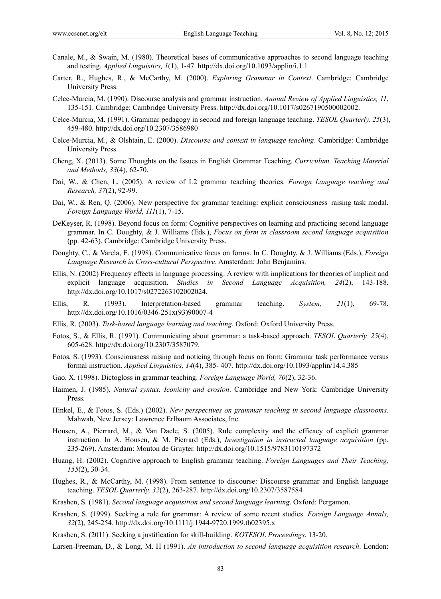- Canale, M., & Swain, M. (1980). Theoretical bases of communicative approaches to second language teaching and testing. *Applied Linguistics, 1*(1), 1-47. http://dx.doi.org/10.1093/applin/i.1.1
- Carter, R., Hughes, R., & McCarthy, M. (2000). *Exploring Grammar in Context*. Cambridge: Cambridge University Press.
- Celce-Murcia, M. (1990). Discourse analysis and grammar instruction. *Annual Review of Applied Linguistics, 11*, 135-151. Cambridge: Cambridge University Press. http://dx.doi.org/10.1017/s0267190500002002.
- Celce-Murcia, M. (1991). Grammar pedagogy in second and foreign language teaching. *TESOL Quarterly, 25*(3), 459-480. http://dx.doi.org/10.2307/3586980
- Celce-Murcia, M., & Olshtain, E. (2000). *Discourse and context in language teaching*. Cambridge: Cambridge University Press.
- Cheng, X. (2013). Some Thoughts on the Issues in English Grammar Teaching. *Curriculum, Teaching Material and Methods, 33*(4), 62-70.
- Dai, W., & Chen, L. (2005). A review of L2 grammar teaching theories. *Foreign Language teaching and Research, 37*(2), 92-99.
- Dai, W., & Ren, Q. (2006). New perspective for grammar teaching: explicit consciousness–raising task modal. *Foreign Language World, 111*(1), 7-15.
- DeKeyser, R. (1998). Beyond focus on form: Cognitive perspectives on learning and practicing second language grammar. In C. Doughty, & J. Williams (Eds.), *Focus on form in classroom second language acquisition*  (pp. 42-63). Cambridge: Cambridge University Press.
- Doughty, C., & Varela, E. (1998). Communicative focus on forms. In C. Doughty, & J. Williams (Eds.), *Foreign Language Research in Cross-cultural Perspective*. Amsterdam: John Benjamins.
- Ellis, N. (2002) Frequency effects in language processing: A review with implications for theories of implicit and explicit language acquisition. *Studies in Second Language Acquisition, 24*(2), 143-188. http://dx.doi.org/10.1017/s0272263102002024.
- Ellis, R. (1993). Interpretation-based grammar teaching. *System, 21*(1), 69-78. http://dx.doi.org/10.1016/0346-251x(93)90007-4
- Ellis, R. (2003). *Task-based language learning and teaching*. Oxford: Oxford University Press.
- Fotos, S., & Ellis, R. (1991). Communicating about grammar: a task-based approach. *TESOL Quarterly, 25*(4), 605-628. http://dx.doi.org/10.2307/3587079.
- Fotos, S. (1993). Consciousness raising and noticing through focus on form: Grammar task performance versus formal instruction. *Applied Linguistics, 14*(4), 385- 407. http://dx.doi.org/10.1093/applin/14.4.385
- Gao, X. (1998). Dictogloss in grammar teaching. *Foreign Language World, 70*(2), 32-36.
- Haimen, J. (1985). *Natural syntax. Iconicity and erosion*. Cambridge and New York: Cambridge University Press.
- Hinkel, E., & Fotos, S. (Eds.) (2002). *New perspectives on grammar teaching in second language classrooms*. Mahwah, New Jersey: Lawrence Erlbaum Associates, Inc.
- Housen, A., Pierrard, M., & Van Daele, S. (2005). Rule complexity and the efficacy of explicit grammar instruction. In A. Housen, & M. Pierrard (Eds.), *Investigation in instructed language acquisition* (pp. 235-269). Amsterdam: Mouton de Gruyter. http://dx.doi.org/10.1515/9783110197372
- Huang, H. (2002). Cognitive approach to English grammar teaching. *Foreign Languages and Their Teaching, 155*(2), 30-34.
- Hughes, R., & McCarthy, M. (1998). From sentence to discourse: Discourse grammar and English language teaching. *TESOL Quarterly, 32*(2), 263-287. http://dx.doi.org/10.2307/3587584
- Krashen, S. (1981). *Second language acquisition and second language learning*. Oxford: Pergamon.
- Krashen, S. (1999). Seeking a role for grammar: A review of some recent studies. *Foreign Language Annals, 32*(2), 245-254. http://dx.doi.org/10.1111/j.1944-9720.1999.tb02395.x
- Krashen, S. (2011). Seeking a justification for skill-building. *KOTESOL Proceedings*, 13-20.

Larsen-Freeman, D., & Long, M. H (1991). *An introduction to second language acquisition research*. London: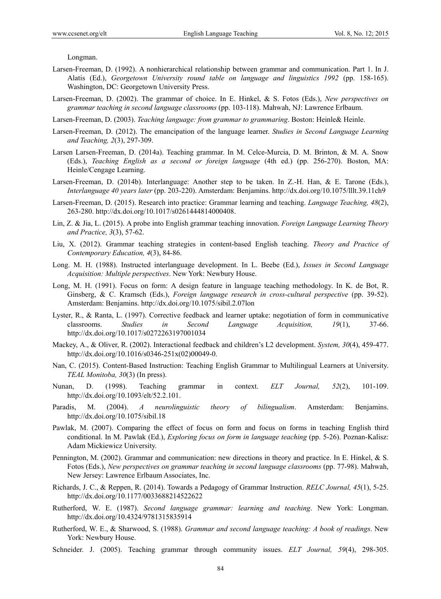Longman.

- Larsen-Freeman, D. (1992). A nonhierarchical relationship between grammar and communication. Part 1. In J. Alatis (Ed.), *Georgetown University round table on language and linguistics 1992* (pp. 158-165). Washington, DC: Georgetown University Press.
- Larsen-Freeman, D. (2002). The grammar of choice. In E. Hinkel, & S. Fotos (Eds.), *New perspectives on grammar teaching in second language classrooms* (pp. 103-118). Mahwah, NJ: Lawrence Erlbaum.
- Larsen-Freeman, D. (2003). *Teaching language: from grammar to grammaring*. Boston: Heinle& Heinle.
- Larsen-Freeman, D. (2012). The emancipation of the language learner. *Studies in Second Language Learning and Teaching, 2*(3), 297-309.
- Larsen Larsen-Freeman, D. (2014a). Teaching grammar. In M. Celce-Murcia, D. M. Brinton, & M. A. Snow (Eds.), *Teaching English as a second or foreign language* (4th ed.) (pp. 256-270). Boston, MA: Heinle/Cengage Learning.
- Larsen-Freeman, D. (2014b). Interlanguage: Another step to be taken. In Z.-H. Han, & E. Tarone (Eds.), *Interlanguage 40 years later* (pp. 203-220). Amsterdam: Benjamins. http://dx.doi.org/10.1075/lllt.39.11ch9
- Larsen-Freeman, D. (2015). Research into practice: Grammar learning and teaching. *Language Teaching, 48*(2), 263-280. http://dx.doi.org/10.1017/s0261444814000408.
- Lin, Z. & Jia, L. (2015). A probe into English grammar teaching innovation. *Foreign Language Learning Theory and Practice, 3*(3), 57-62.
- Liu, X. (2012). Grammar teaching strategies in content-based English teaching. *Theory and Practice of Contemporary Education, 4*(3), 84-86.
- Long. M. H. (1988). Instructed interlanguage development. In L. Beebe (Ed.), *Issues in Second Language Acquisition: Multiple perspectives*. New York: Newbury House.
- Long, M. H. (1991). Focus on form: A design feature in language teaching methodology. In K. de Bot, R. Ginsberg, & C. Kramsch (Eds.), *Foreign language research in cross-cultural perspective* (pp. 39-52). Amsterdam: Benjamins. http://dx.doi.org/10.1075/sibil.2.07lon
- Lyster, R., & Ranta, L. (1997). Corrective feedback and learner uptake: negotiation of form in communicative classrooms. *Studies in Second Language Acquisition, 19*(1), 37-66. http://dx.doi.org/10.1017/s0272263197001034
- Mackey, A., & Oliver, R. (2002). Interactional feedback and children's L2 development. *System, 30*(4), 459-477. http://dx.doi.org/10.1016/s0346-251x(02)00049-0.
- Nan, C. (2015). Content-Based Instruction: Teaching English Grammar to Multilingual Learners at University. *TEAL Monitoba, 30*(3) (In press).
- Nunan, D. (1998). Teaching grammar in context. *ELT Journal, 52*(2), 101-109. http://dx.doi.org/10.1093/elt/52.2.101.
- Paradis, M. (2004). *A neurolinguistic theory of bilingualism*. Amsterdam: Benjamins. http://dx.doi.org/10.1075/sibil.18
- Pawlak, M. (2007). Comparing the effect of focus on form and focus on forms in teaching English third conditional. In M. Pawlak (Ed.), *Exploring focus on form in language teaching* (pp. 5-26). Poznan-Kalisz: Adam Mickiewicz University.
- Pennington, M. (2002). Grammar and communication: new directions in theory and practice. In E. Hinkel, & S. Fotos (Eds.), *New perspectives on grammar teaching in second language classrooms* (pp. 77-98). Mahwah, New Jersey: Lawrence Erlbaum Associates, Inc.
- Richards, J. C., & Reppen, R. (2014). Towards a Pedagogy of Grammar Instruction. *RELC Journal, 45*(1), 5-25. http://dx.doi.org/10.1177/0033688214522622
- Rutherford, W. E. (1987). *Second language grammar: learning and teaching*. New York: Longman. http://dx.doi.org/10.4324/9781315835914
- Rutherford, W. E., & Sharwood, S. (1988). *Grammar and second language teaching: A book of readings*. New York: Newbury House.
- Schneider. J. (2005). Teaching grammar through community issues. *ELT Journal, 59*(4), 298-305.